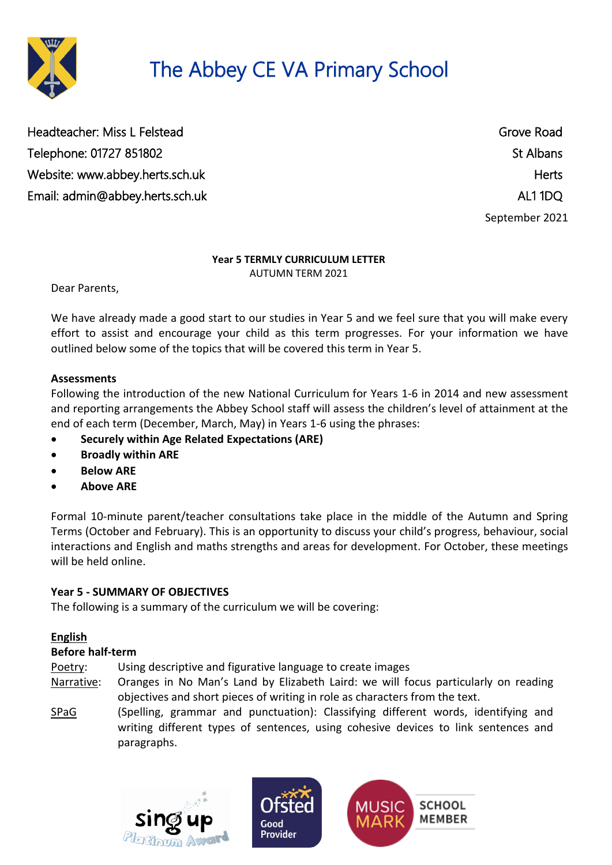

# The Abbey CE VA Primary School

Headteacher: Miss L Felstead Grove Road Telephone: 01727 851802 St Albans Website: [www.abbey.herts.sch.uk](http://www.abbey.herts.sch.uk/) https://www.abbey.herts.sch.uk Email: [admin@abbey.herts.sch.uk](mailto:admin@abbey.herts.sch.uk) and the state of the state of the state of the state of the AL1 1DQ

September 2021

#### **Year 5 TERMLY CURRICULUM LETTER** AUTUMN TERM 2021

Dear Parents,

We have already made a good start to our studies in Year 5 and we feel sure that you will make every effort to assist and encourage your child as this term progresses. For your information we have outlined below some of the topics that will be covered this term in Year 5.

### **Assessments**

Following the introduction of the new National Curriculum for Years 1-6 in 2014 and new assessment and reporting arrangements the Abbey School staff will assess the children's level of attainment at the end of each term (December, March, May) in Years 1-6 using the phrases:

- **Securely within Age Related Expectations (ARE)**
- **Broadly within ARE**
- **Below ARE**
- **Above ARE**

Formal 10-minute parent/teacher consultations take place in the middle of the Autumn and Spring Terms (October and February). This is an opportunity to discuss your child's progress, behaviour, social interactions and English and maths strengths and areas for development. For October, these meetings will be held online.

### **Year 5 - SUMMARY OF OBJECTIVES**

The following is a summary of the curriculum we will be covering:

### **English**

#### **Before half-term**

Poetry: Using descriptive and figurative language to create images

- Narrative: Oranges in No Man's Land by Elizabeth Laird: we will focus particularly on reading objectives and short pieces of writing in role as characters from the text.
- SPaG (Spelling, grammar and punctuation): Classifying different words, identifying and writing different types of sentences, using cohesive devices to link sentences and paragraphs.

Good



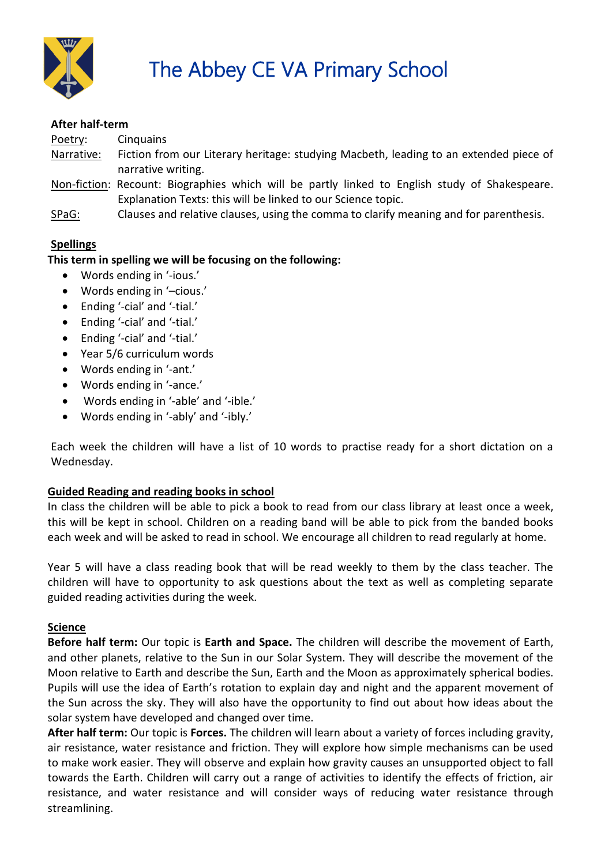

#### **After half-term**

Poetry: Cinquains Narrative: Fiction from our Literary heritage: studying Macbeth, leading to an extended piece of narrative writing.

- Non-fiction: Recount: Biographies which will be partly linked to English study of Shakespeare. Explanation Texts: this will be linked to our Science topic.
- SPaG: Clauses and relative clauses, using the comma to clarify meaning and for parenthesis.

# **Spellings**

# **This term in spelling we will be focusing on the following:**

- Words ending in '-ious.'
- Words ending in '–cious.'
- Ending '-cial' and '-tial.'
- Ending '-cial' and '-tial.'
- Ending '-cial' and '-tial.'
- Year 5/6 curriculum words
- Words ending in '-ant.'
- Words ending in '-ance.'
- Words ending in '-able' and '-ible.'
- Words ending in '-ably' and '-ibly.'

Each week the children will have a list of 10 words to practise ready for a short dictation on a Wednesday.

### **Guided Reading and reading books in school**

In class the children will be able to pick a book to read from our class library at least once a week, this will be kept in school. Children on a reading band will be able to pick from the banded books each week and will be asked to read in school. We encourage all children to read regularly at home.

Year 5 will have a class reading book that will be read weekly to them by the class teacher. The children will have to opportunity to ask questions about the text as well as completing separate guided reading activities during the week.

### **Science**

**Before half term:** Our topic is **Earth and Space.** The children will describe the movement of Earth, and other planets, relative to the Sun in our Solar System. They will describe the movement of the Moon relative to Earth and describe the Sun, Earth and the Moon as approximately spherical bodies. Pupils will use the idea of Earth's rotation to explain day and night and the apparent movement of the Sun across the sky. They will also have the opportunity to find out about how ideas about the solar system have developed and changed over time.

**After half term:** Our topic is **Forces.** The children will learn about a variety of forces including gravity, air resistance, water resistance and friction. They will explore how simple mechanisms can be used to make work easier. They will observe and explain how gravity causes an unsupported object to fall towards the Earth. Children will carry out a range of activities to identify the effects of friction, air resistance, and water resistance and will consider ways of reducing water resistance through streamlining.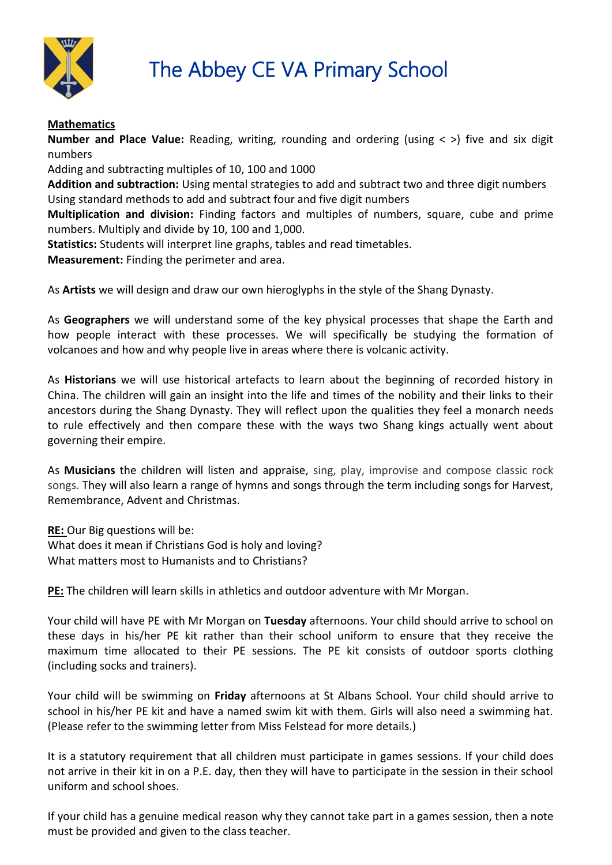

# **The Abbey CE VA Primary School**

# **Mathematics**

**Number and Place Value:** Reading, writing, rounding and ordering (using  $\lt$  >) five and six digit numbers

Adding and subtracting multiples of 10, 100 and 1000

**Addition and subtraction:** Using mental strategies to add and subtract two and three digit numbers Using standard methods to add and subtract four and five digit numbers

**Multiplication and division:** Finding factors and multiples of numbers, square, cube and prime numbers. Multiply and divide by 10, 100 and 1,000.

**Statistics:** Students will interpret line graphs, tables and read timetables.

**Measurement:** Finding the perimeter and area.

As **Artists** we will design and draw our own hieroglyphs in the style of the Shang Dynasty.

As **Geographers** we will understand some of the key physical processes that shape the Earth and how people interact with these processes. We will specifically be studying the formation of volcanoes and how and why people live in areas where there is volcanic activity.

As **Historians** we will use historical artefacts to learn about the beginning of recorded history in China. The children will gain an insight into the life and times of the nobility and their links to their ancestors during the Shang Dynasty. They will reflect upon the qualities they feel a monarch needs to rule effectively and then compare these with the ways two Shang kings actually went about governing their empire.

As **Musicians** the children will listen and appraise, sing, play, improvise and compose classic rock songs. They will also learn a range of hymns and songs through the term including songs for Harvest, Remembrance, Advent and Christmas.

**RE:** Our Big questions will be: What does it mean if Christians God is holy and loving? What matters most to Humanists and to Christians?

**PE:** The children will learn skills in athletics and outdoor adventure with Mr Morgan.

Your child will have PE with Mr Morgan on **Tuesday** afternoons. Your child should arrive to school on these days in his/her PE kit rather than their school uniform to ensure that they receive the maximum time allocated to their PE sessions. The PE kit consists of outdoor sports clothing (including socks and trainers).

Your child will be swimming on **Friday** afternoons at St Albans School. Your child should arrive to school in his/her PE kit and have a named swim kit with them. Girls will also need a swimming hat. (Please refer to the swimming letter from Miss Felstead for more details.)

It is a statutory requirement that all children must participate in games sessions. If your child does not arrive in their kit in on a P.E. day, then they will have to participate in the session in their school uniform and school shoes.

If your child has a genuine medical reason why they cannot take part in a games session, then a note must be provided and given to the class teacher.